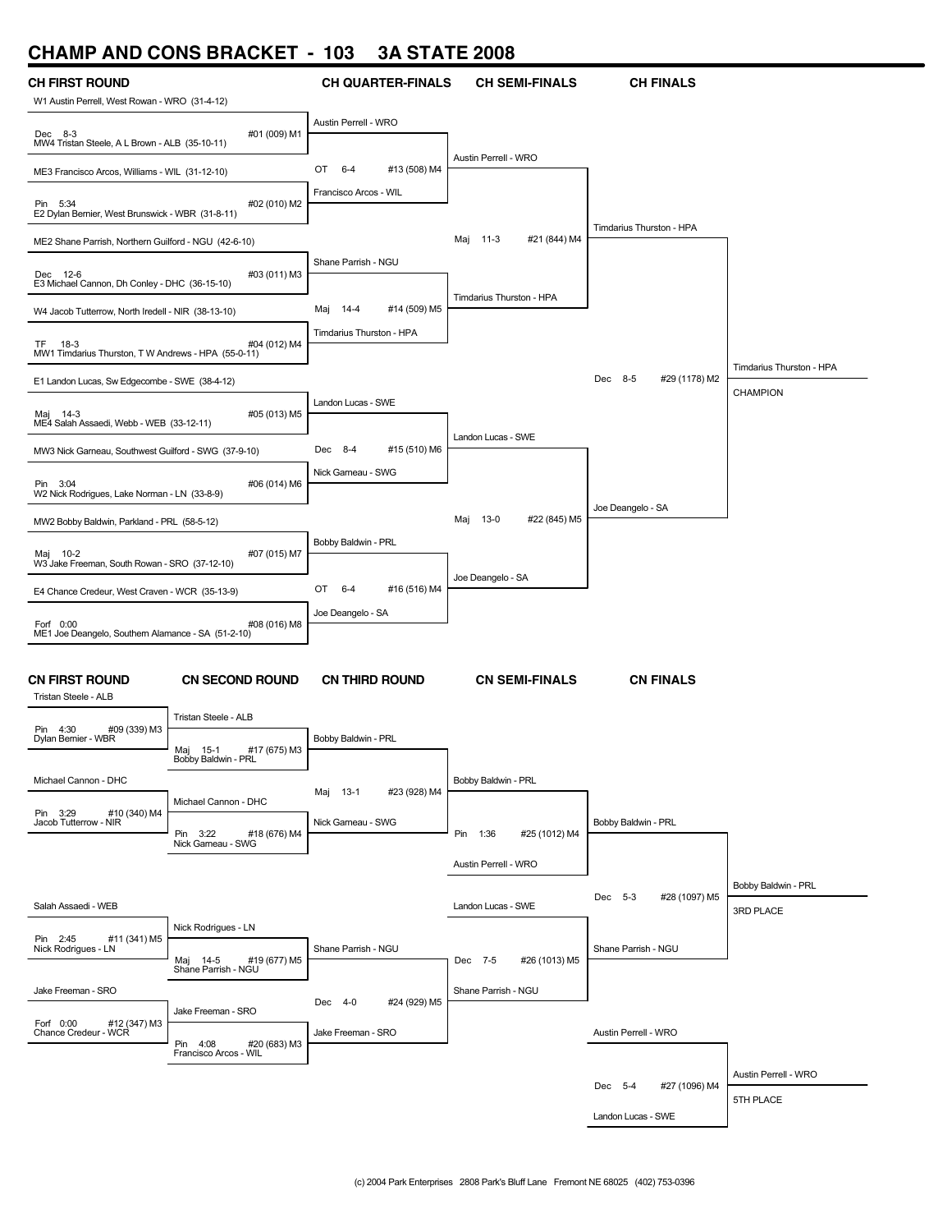## **CHAMP AND CONS BRACKET - 103 3A STATE 2008**

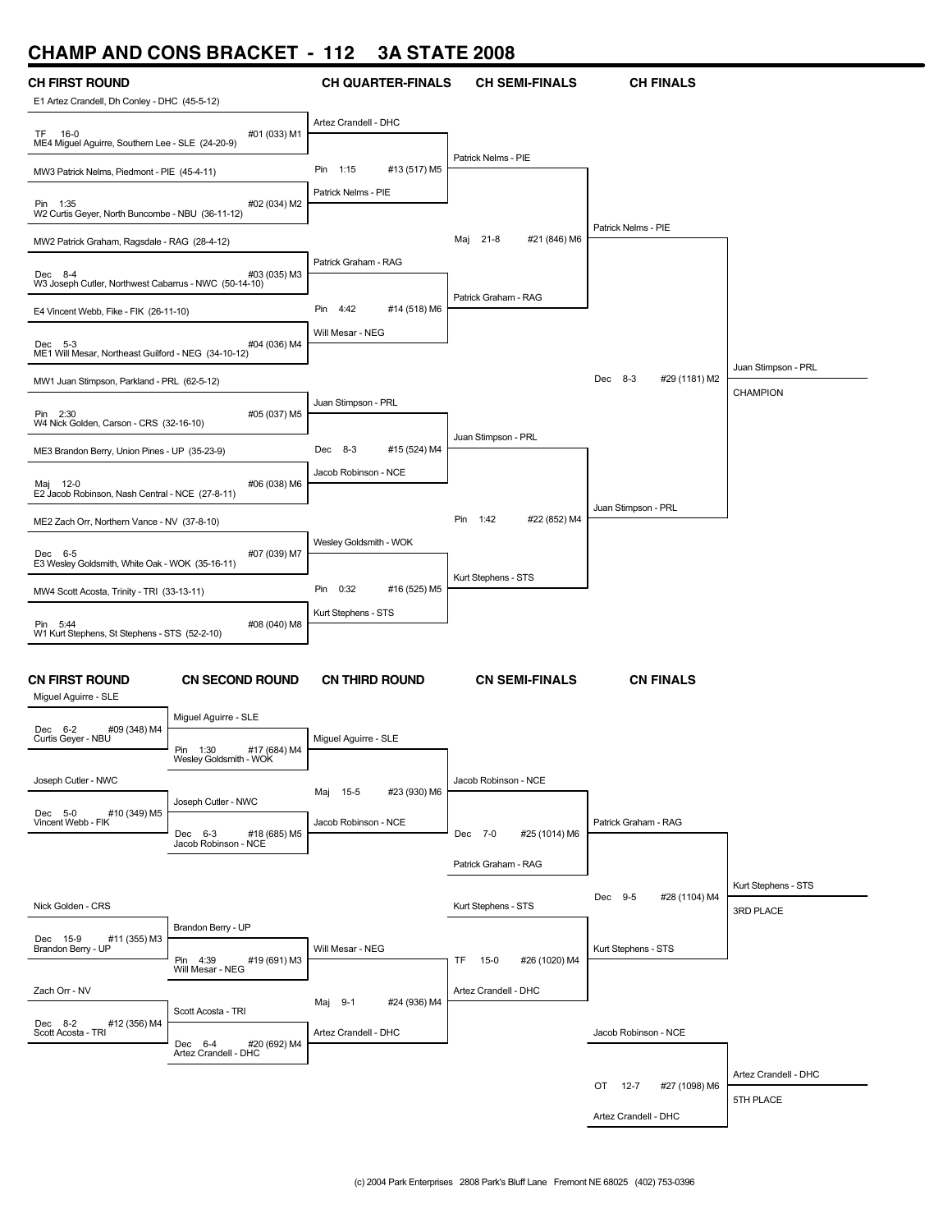## **CHAMP AND CONS BRACKET - 112 3A STATE 2008**

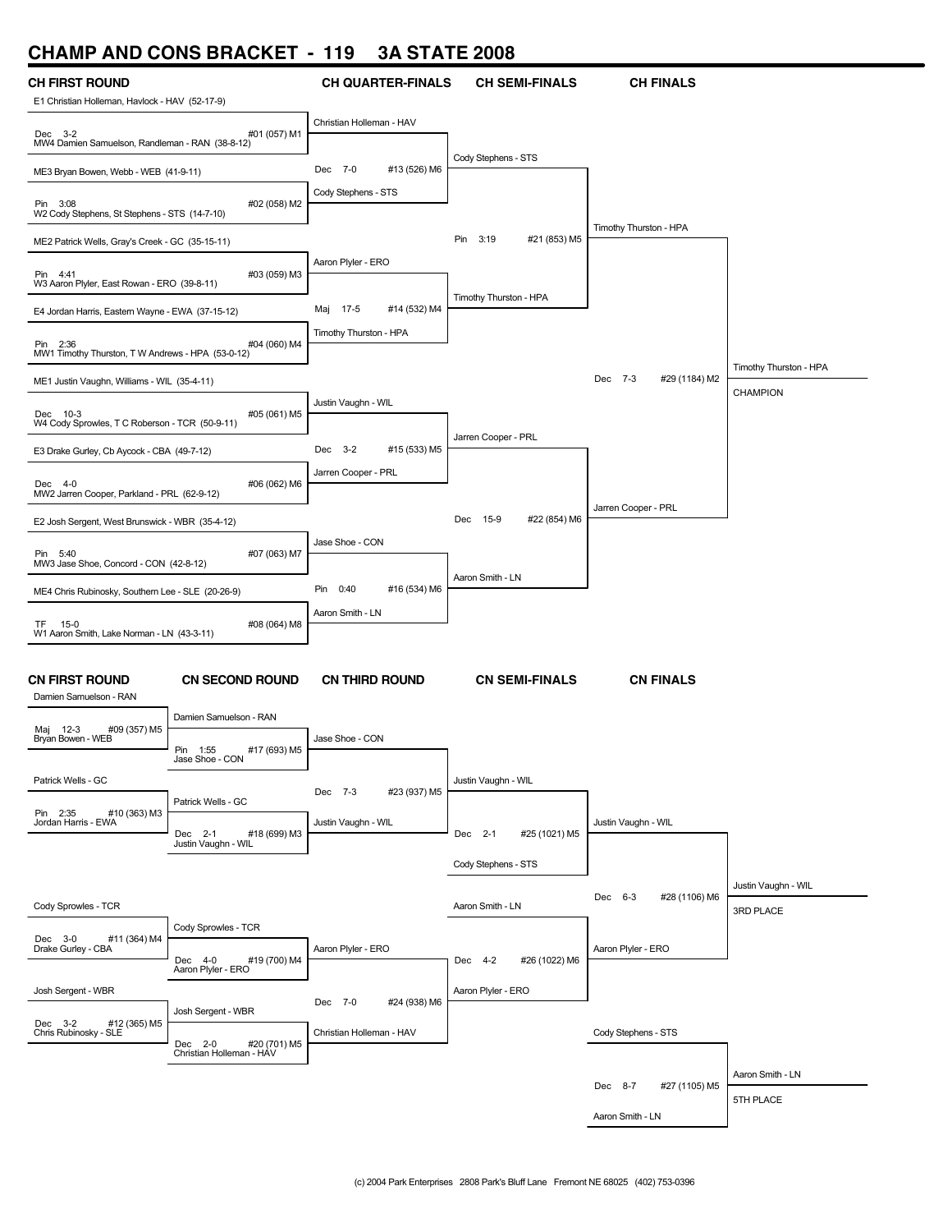

#### Patrick Wells - GC Pin 2:35 #10 (363) M3 Jordan Harris - EWA Cody Sprowles - TCR Dec 3-0 #11 (364) M4 Drake Gurley - CBA Josh Sergent - WBR Dec 3-2 #12 (365) M5 Chris Rubinosky - SLE Patrick Wells - GC Dec 2-1 #18 (699) M3 Justin Vaughn - WIL Cody Sprowles - TCR Dec 4-0 #19 (700) M4 Aaron Plyler - ERO Josh Sergent - WBR Dec 2-0 #20 (701) M5 Christian Holleman - HAV Dec 7-3 #23 (937) M5 Justin Vaughn - WIL Aaron Plyler - ERO Dec 7-0 #24 (938) M6 Christian Holleman - HAV Justin Vaughn - WIL Dec 2-1 #25 (1021) M5 Cody Stephens - STS Aaron Smith - LN Dec 4-2 #26 (1022) M6 Aaron Plyler - ERO Justin Vaughn - WIL Dec 6-3 #28 (1106) M6 Aaron Plyler - ERO Justin Vaughn - WIL 3RD PLACE Cody Stephens - STS Dec 8-7 #27 (1105) M5 Aaron Smith - LN Aaron Smith - LN 5TH PLACE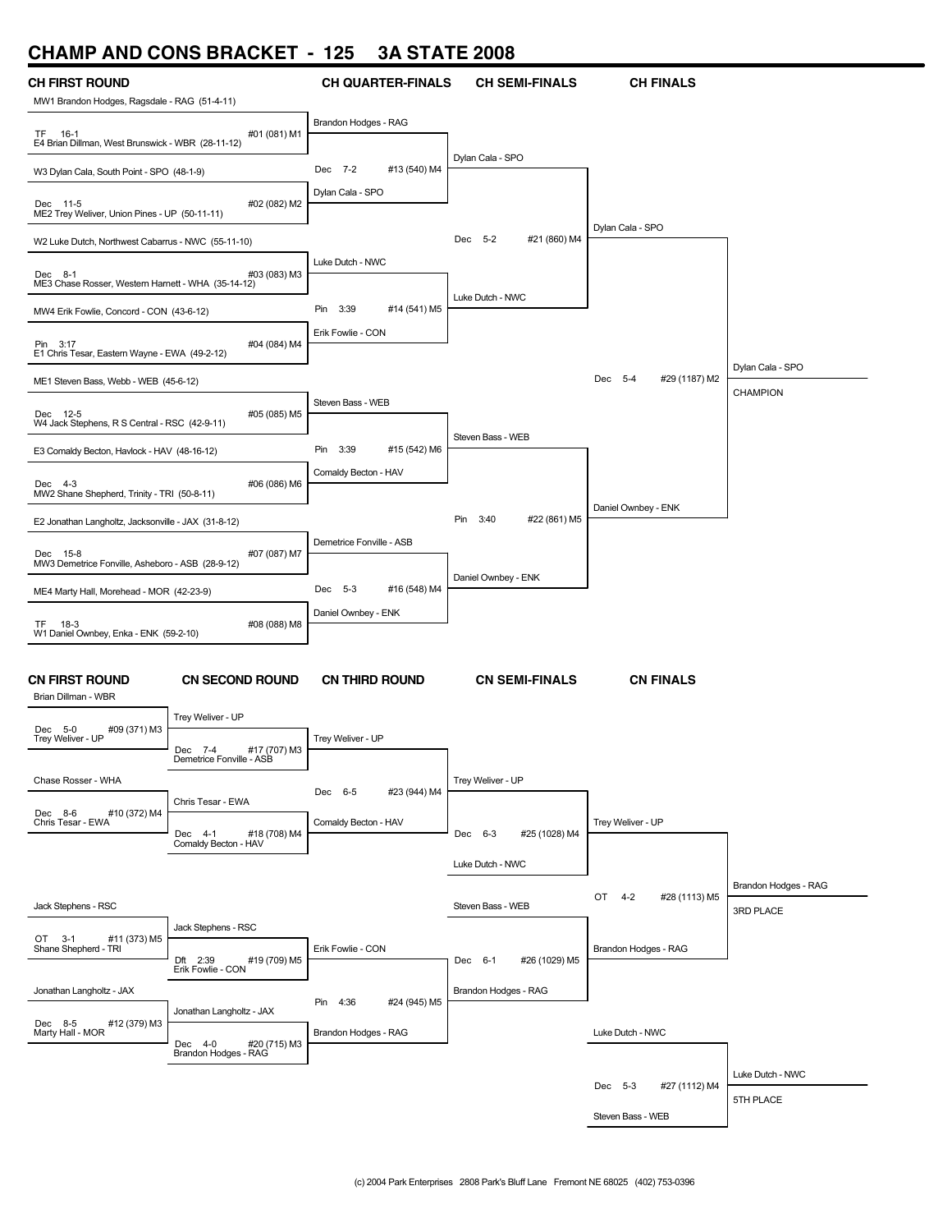# **CHAMP AND CONS BRACKET - 125 3A STATE 2008**

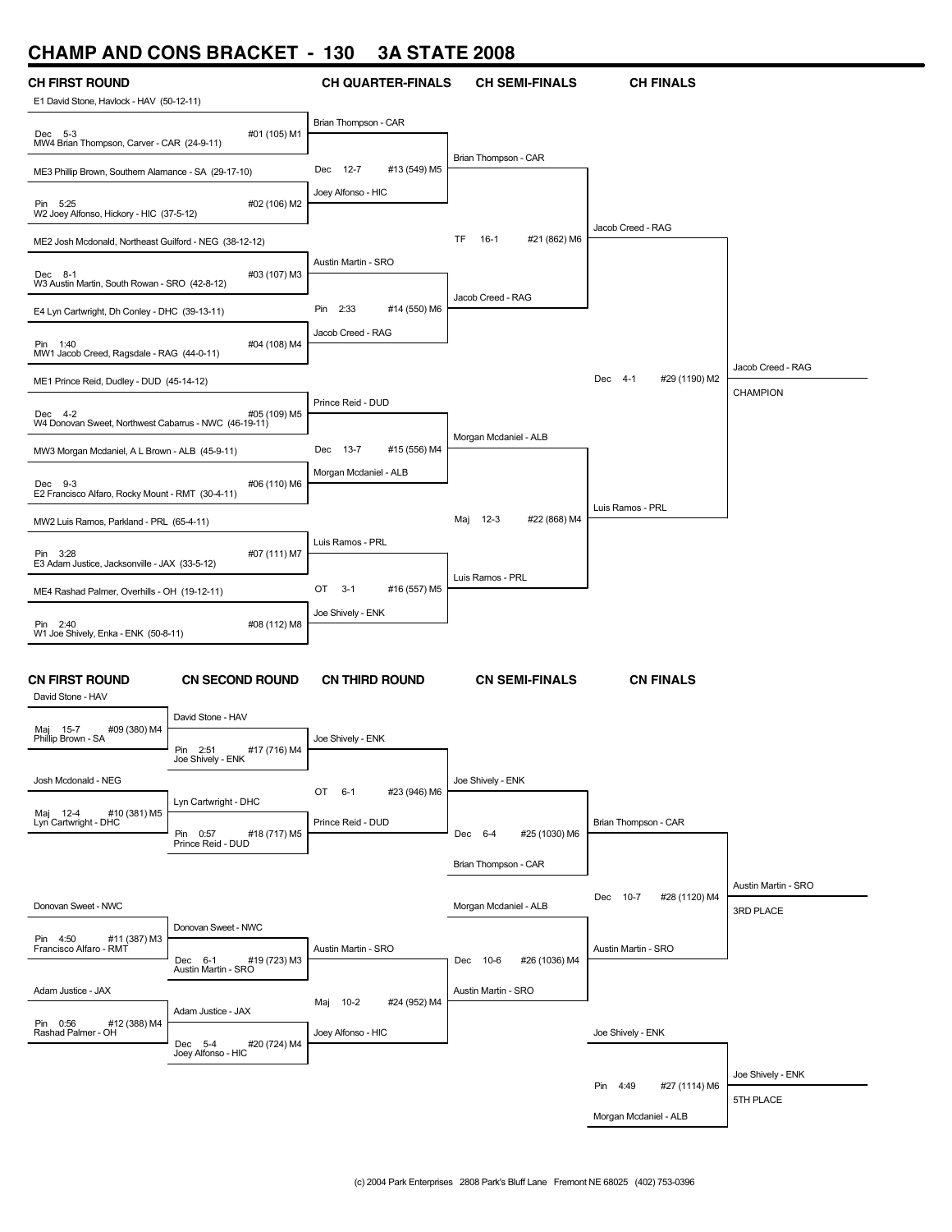## **CHAMP AND CONS BRACKET - 130 3A STATE 2008**

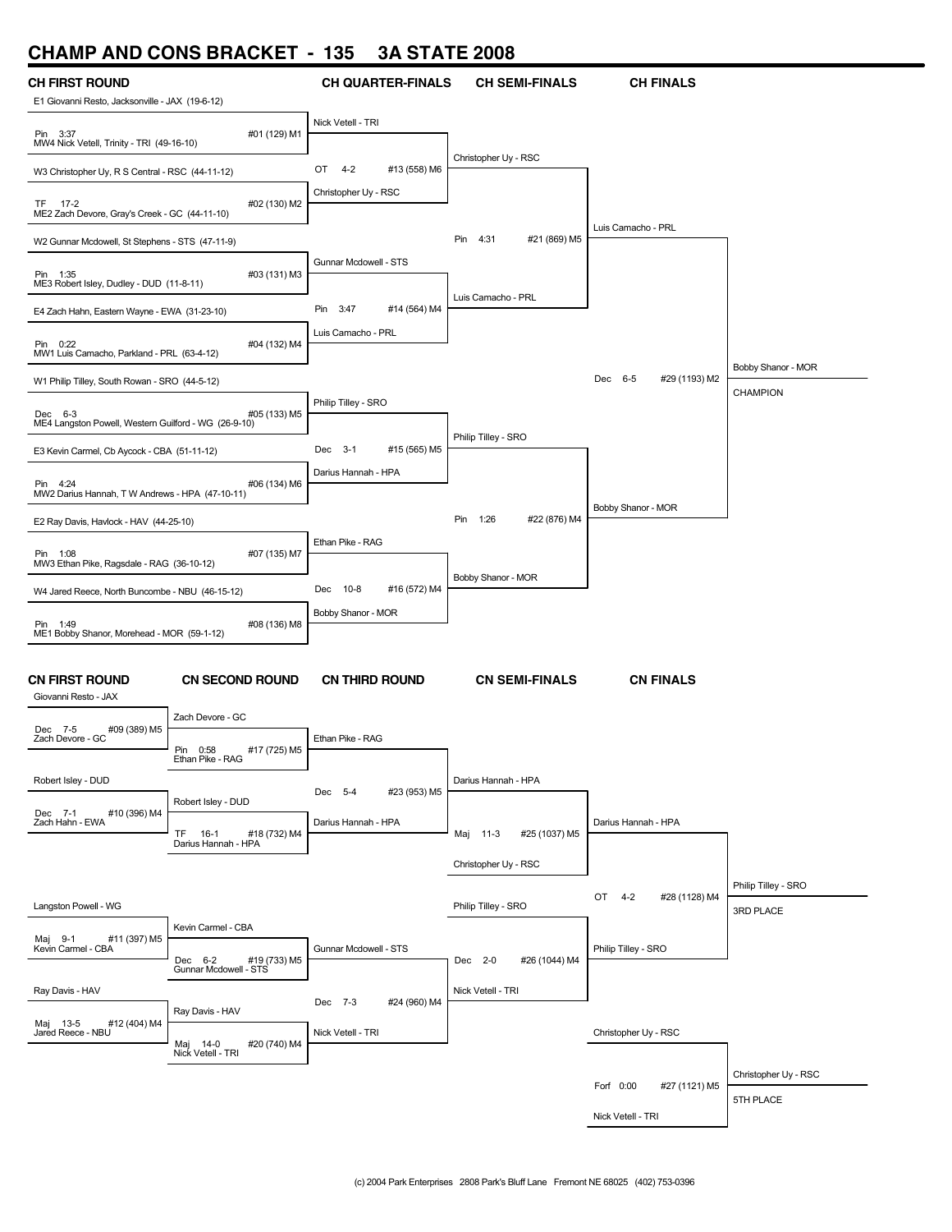## **CHAMP AND CONS BRACKET - 135 3A STATE 2008**

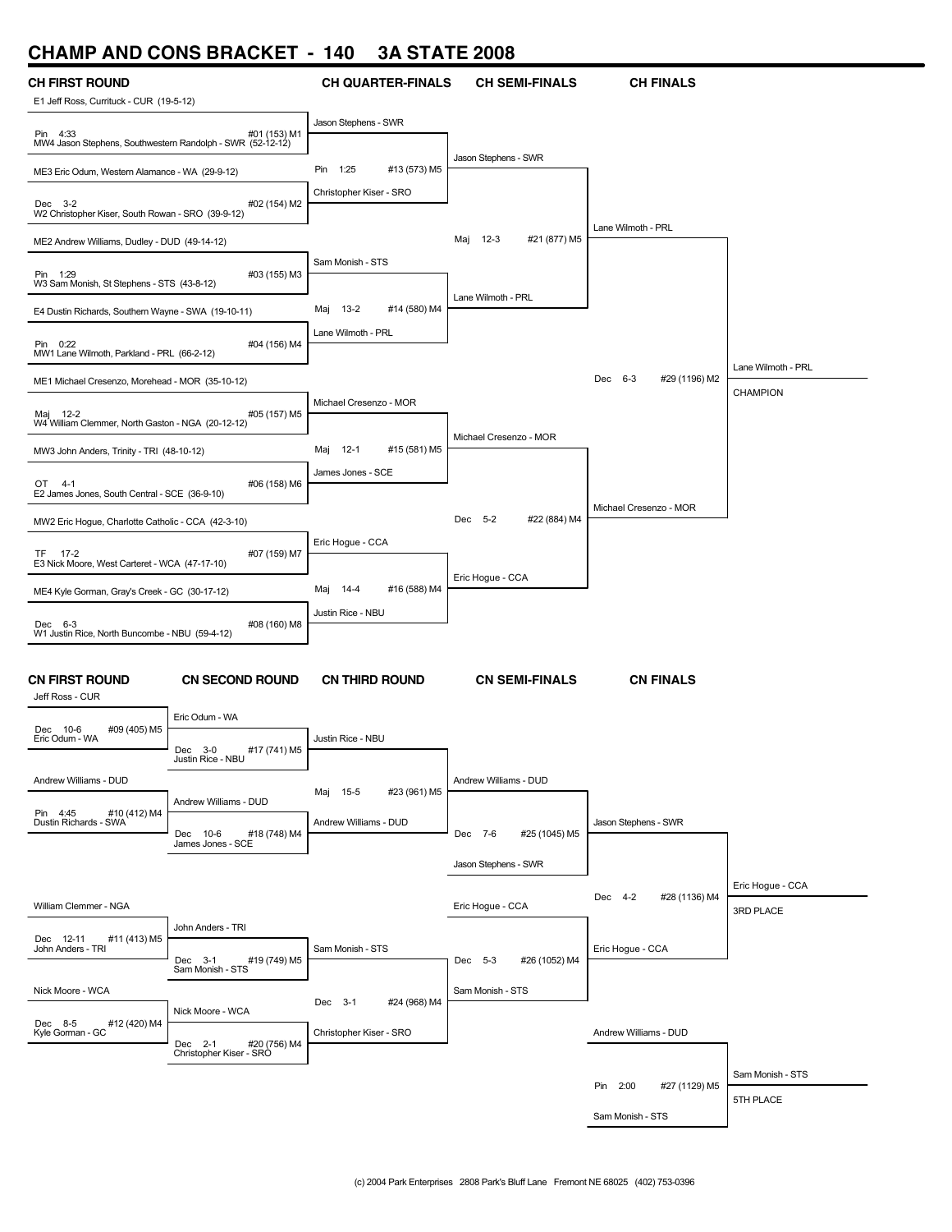## **CHAMP AND CONS BRACKET - 140 3A STATE 2008**

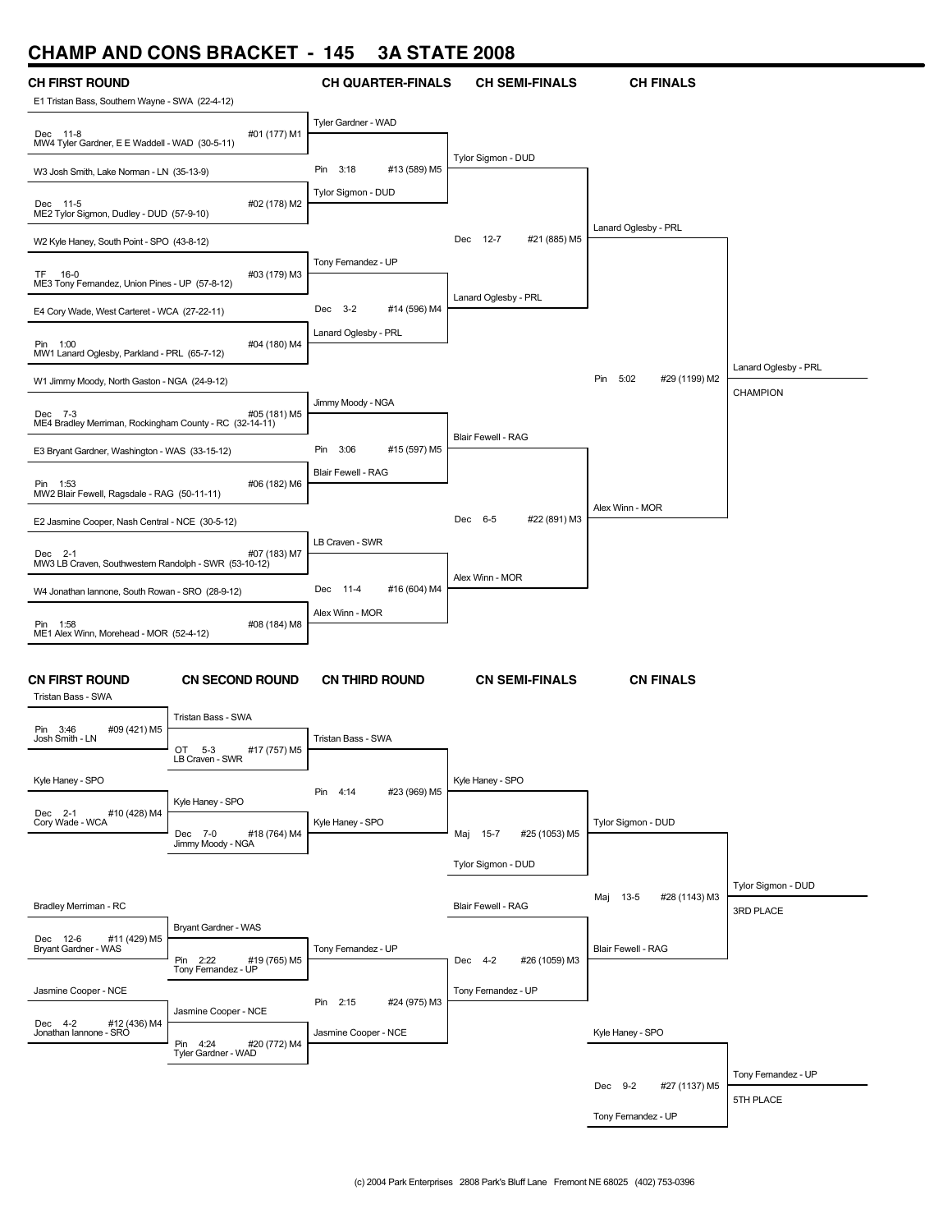## **CHAMP AND CONS BRACKET - 145 3A STATE 2008**

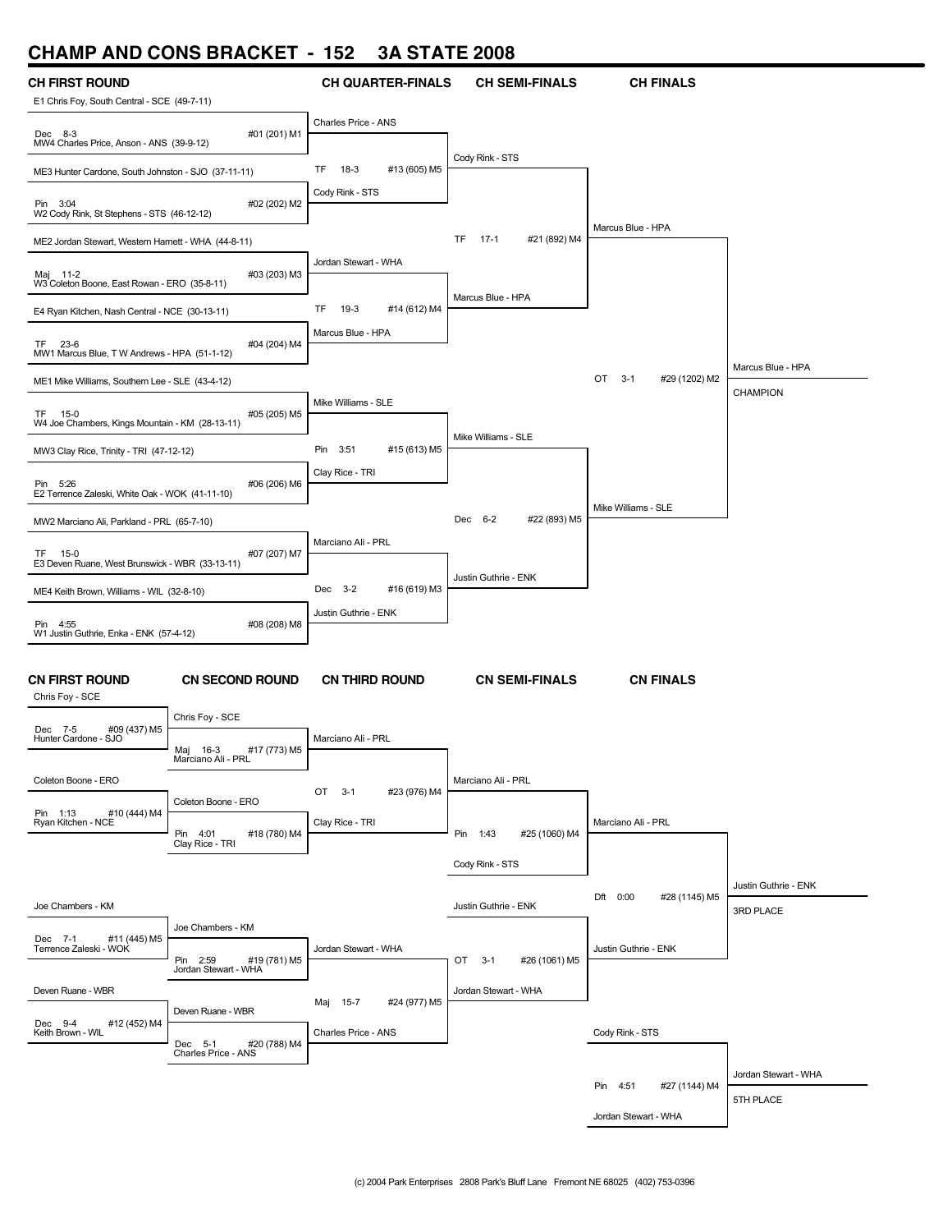## **CHAMP AND CONS BRACKET - 152 3A STATE 2008**

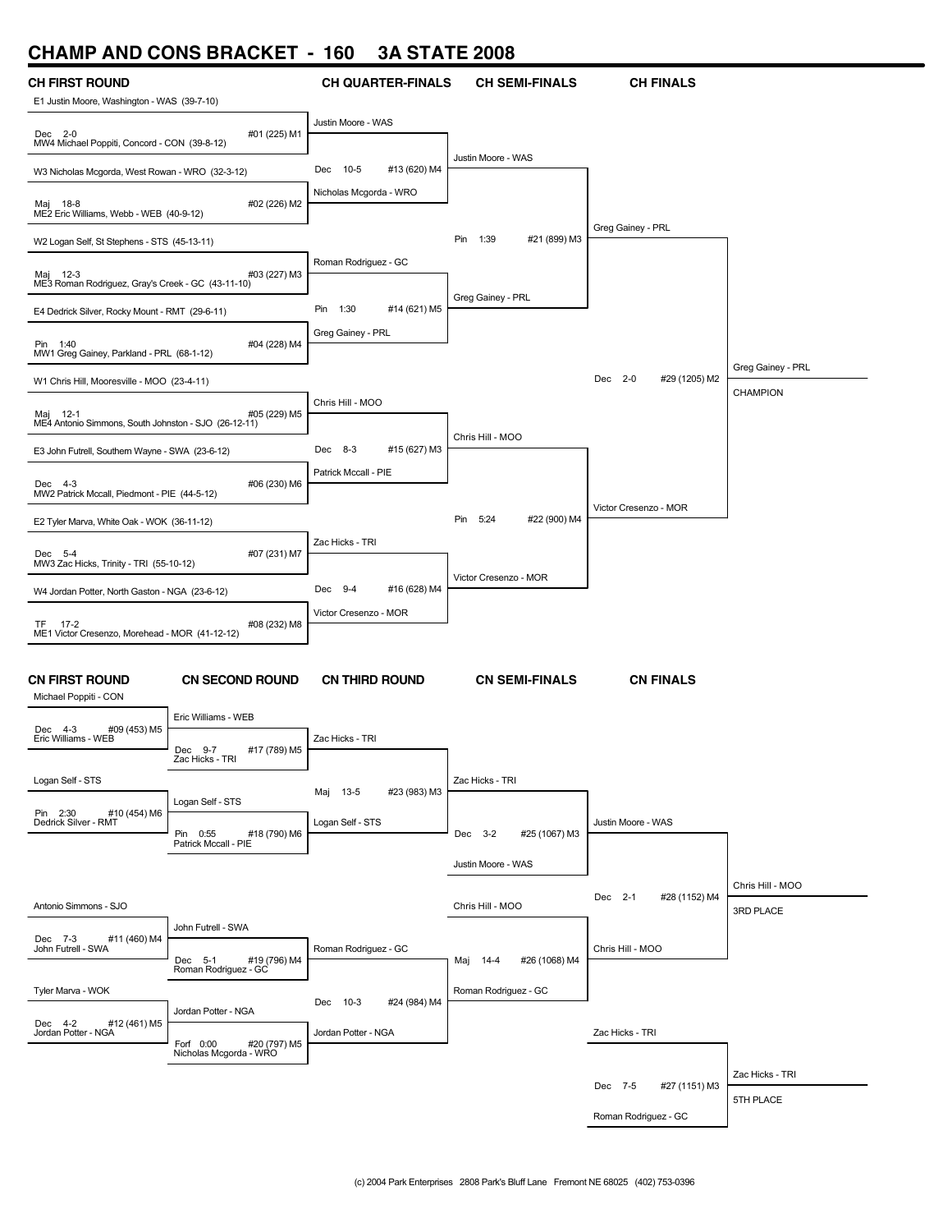## **CHAMP AND CONS BRACKET - 160 3A STATE 2008**



Roman Rodriguez - GC

5TH PLACE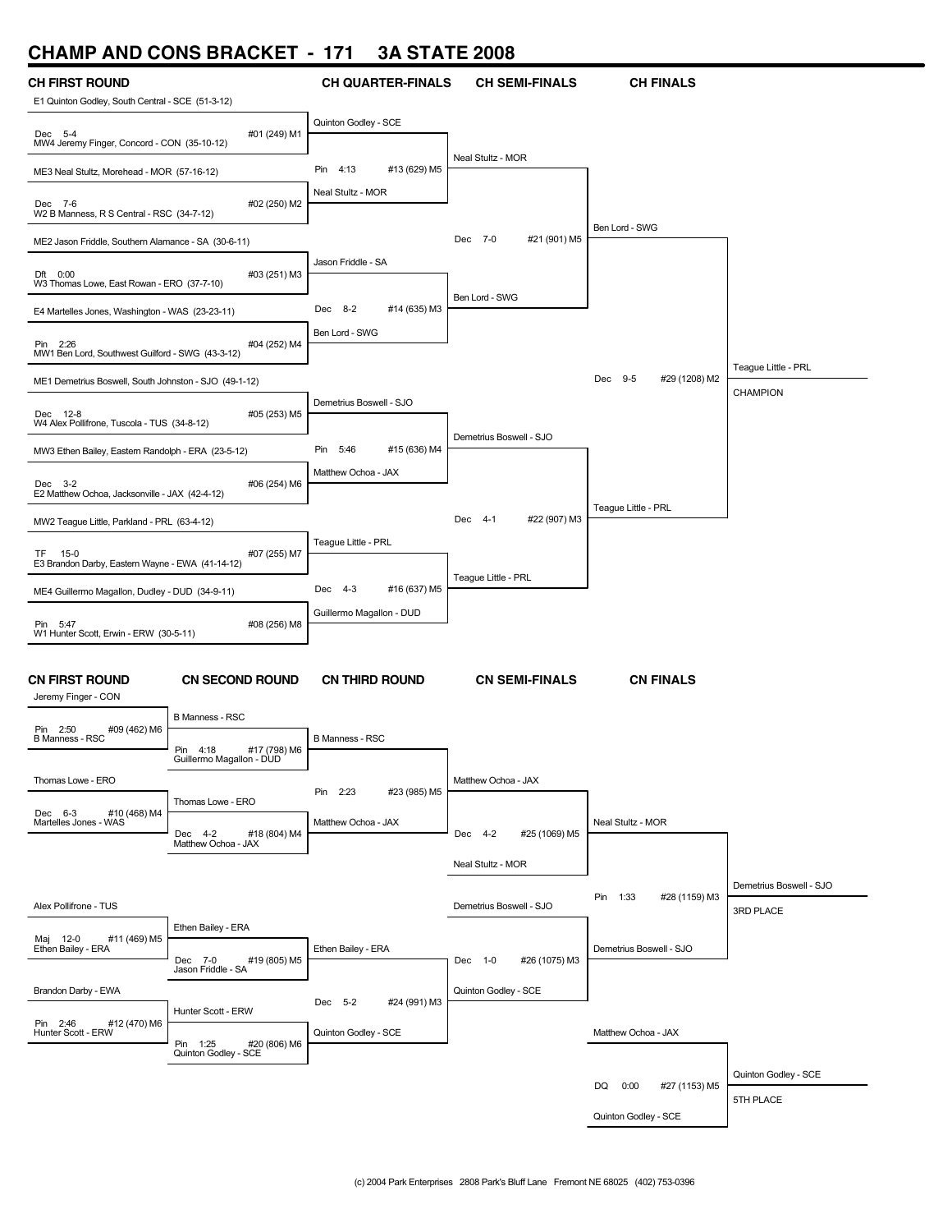# **CHAMP AND CONS BRACKET - 171 3A STATE 2008**

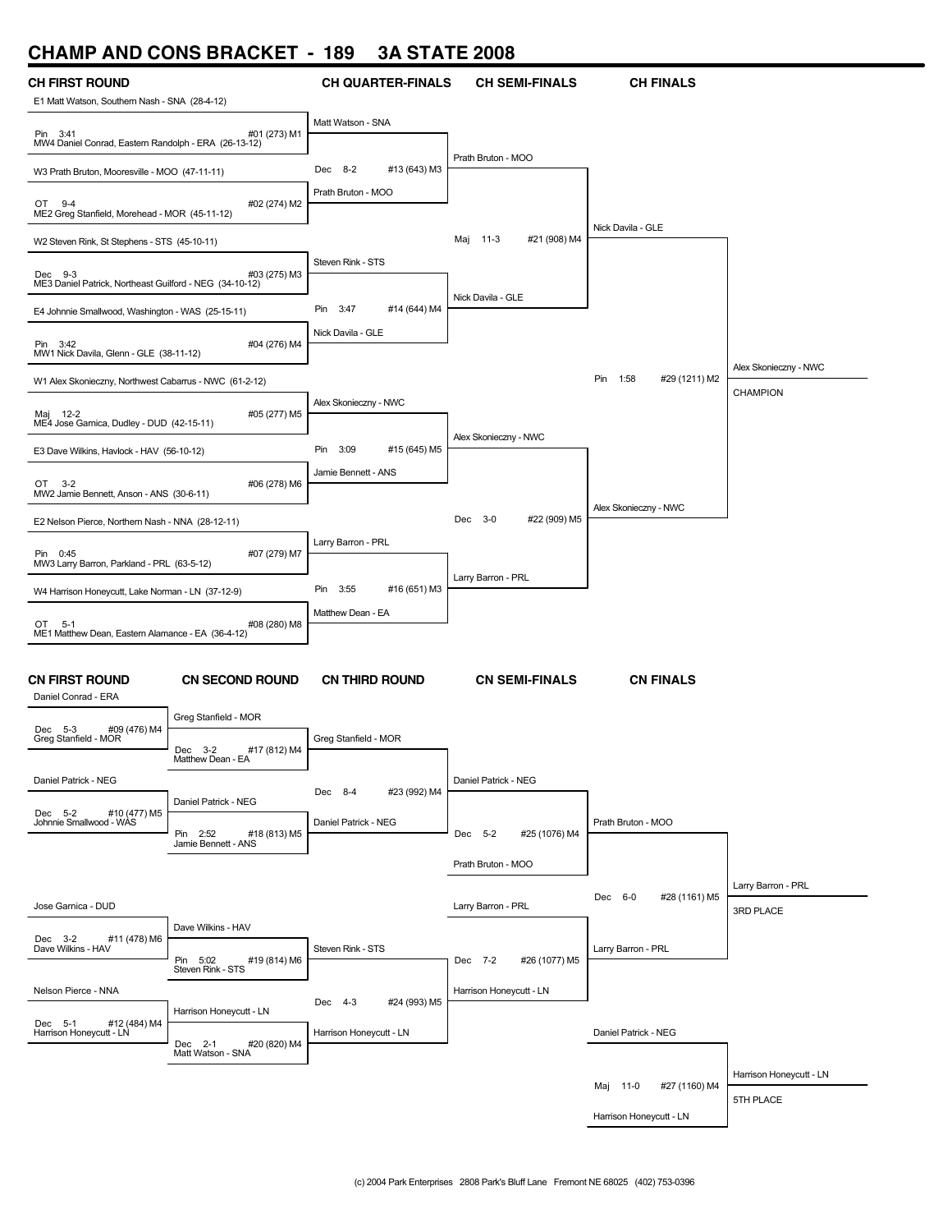### **CHAMP AND CONS BRACKET - 189 3A STATE 2008**

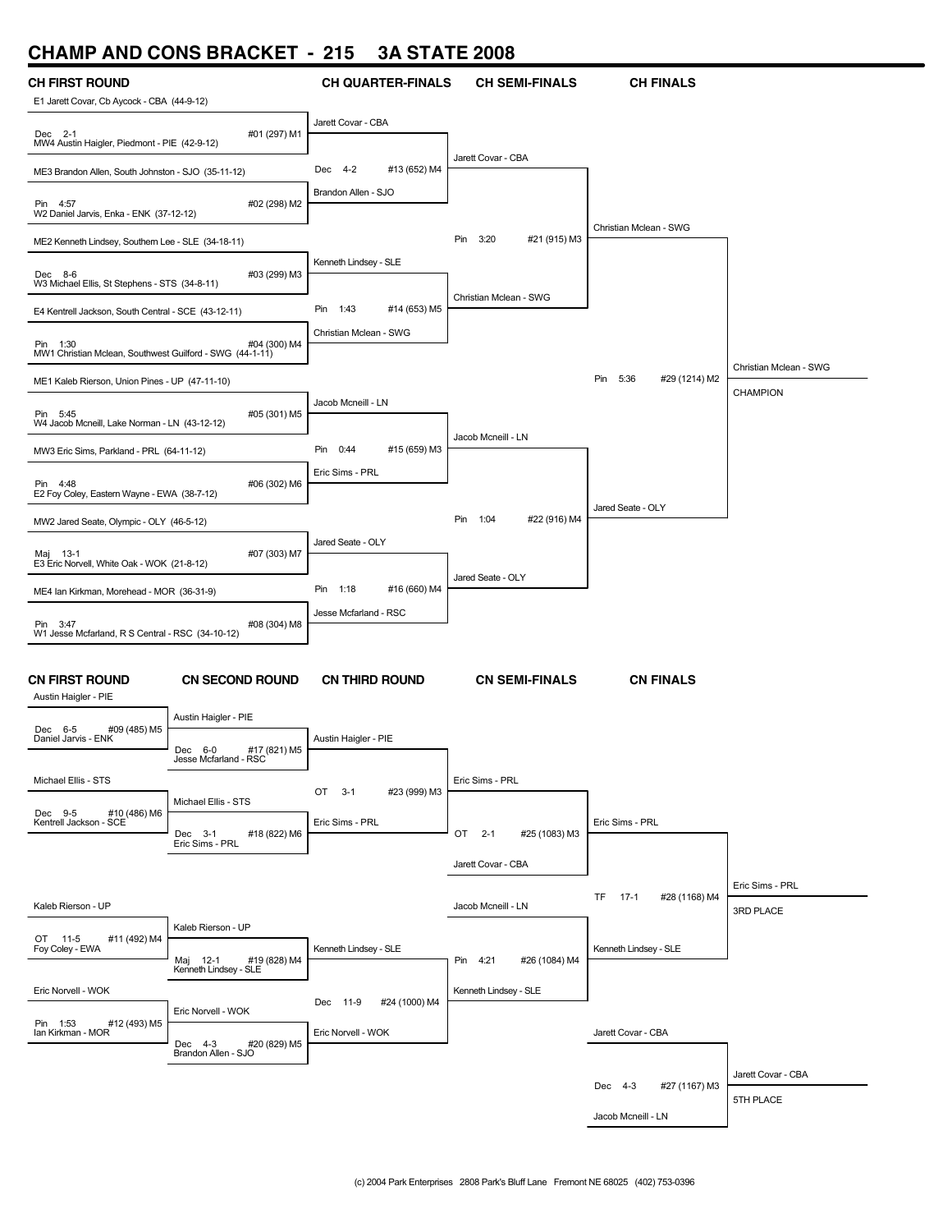## **CHAMP AND CONS BRACKET - 215 3A STATE 2008**